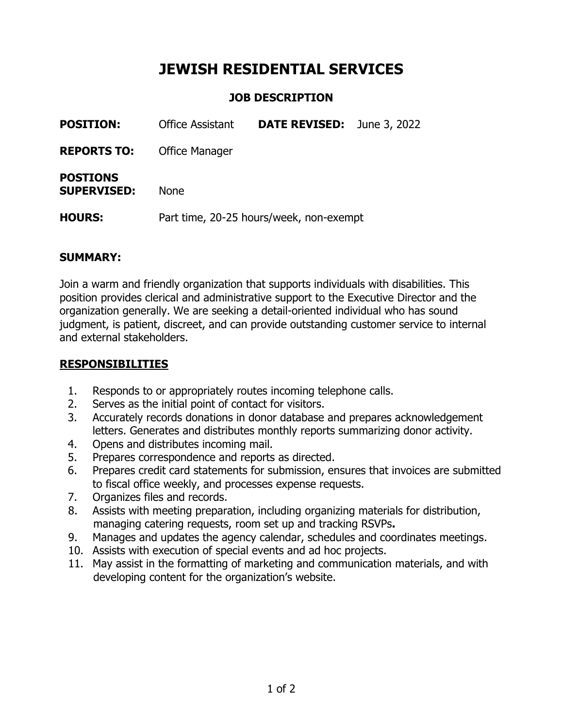# **JEWISH RESIDENTIAL SERVICES**

# **JOB DESCRIPTION**

| <b>POSITION:</b>                      | <b>Office Assistant</b>                 | <b>DATE REVISED:</b> | June 3, 2022 |
|---------------------------------------|-----------------------------------------|----------------------|--------------|
| <b>REPORTS TO:</b>                    | <b>Office Manager</b>                   |                      |              |
| <b>POSTIONS</b><br><b>SUPERVISED:</b> | <b>None</b>                             |                      |              |
| <b>HOURS:</b>                         | Part time, 20-25 hours/week, non-exempt |                      |              |

#### **SUMMARY:**

Join a warm and friendly organization that supports individuals with disabilities. This position provides clerical and administrative support to the Executive Director and the organization generally. We are seeking a detail-oriented individual who has sound judgment, is patient, discreet, and can provide outstanding customer service to internal and external stakeholders.

#### **RESPONSIBILITIES**

- 1. Responds to or appropriately routes incoming telephone calls.
- 2. Serves as the initial point of contact for visitors.
- 3. Accurately records donations in donor database and prepares acknowledgement letters. Generates and distributes monthly reports summarizing donor activity.
- 4. Opens and distributes incoming mail.
- 5. Prepares correspondence and reports as directed.
- 6. Prepares credit card statements for submission, ensures that invoices are submitted to fiscal office weekly, and processes expense requests.
- 7. Organizes files and records.
- 8. Assists with meeting preparation, including organizing materials for distribution, managing catering requests, room set up and tracking RSVPs**.**
- 9. Manages and updates the agency calendar, schedules and coordinates meetings.
- 10. Assists with execution of special events and ad hoc projects.
- 11. May assist in the formatting of marketing and communication materials, and with developing content for the organization's website.